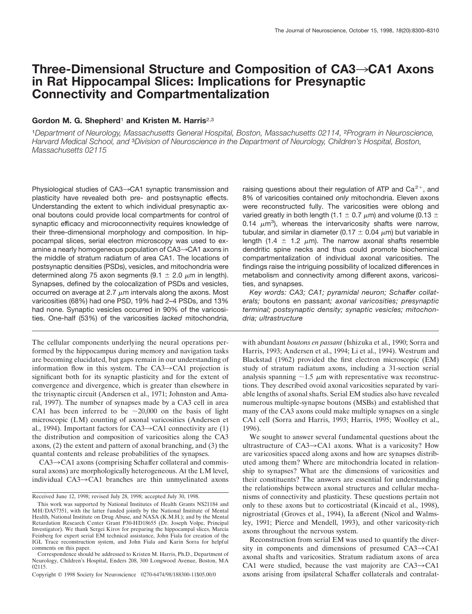# **Three-Dimensional Structure and Composition of CA3**3**CA1 Axons in Rat Hippocampal Slices: Implications for Presynaptic Connectivity and Compartmentalization**

# **Gordon M. G. Shepherd**<sup>1</sup> **and Kristen M. Harris**2,3

<sup>1</sup>*Department of Neurology, Massachusetts General Hospital, Boston, Massachusetts 02114,* <sup>2</sup>*Program in Neuroscience, Harvard Medical School, and* <sup>3</sup>*Division of Neuroscience in the Department of Neurology, Children's Hospital, Boston, Massachusetts 02115*

Physiological studies of  $CA3 \rightarrow CA1$  synaptic transmission and plasticity have revealed both pre- and postsynaptic effects. Understanding the extent to which individual presynaptic axonal boutons could provide local compartments for control of synaptic efficacy and microconnectivity requires knowledge of their three-dimensional morphology and composition. In hippocampal slices, serial electron microscopy was used to examine a nearly homogeneous population of  $CA3 \rightarrow CA1$  axons in the middle of stratum radiatum of area CA1. The locations of postsynaptic densities (PSDs), vesicles, and mitochondria were determined along 75 axon segments (9.1  $\pm$  2.0  $\mu$ m in length). Synapses, defined by the colocalization of PSDs and vesicles, occurred on average at 2.7  $\mu$ m intervals along the axons. Most varicosities (68%) had one PSD, 19% had 2–4 PSDs, and 13% had none. Synaptic vesicles occurred in 90% of the varicosities. One-half (53%) of the varicosities *lacked* mitochondria,

The cellular components underlying the neural operations performed by the hippocampus during memory and navigation tasks are becoming elucidated, but gaps remain in our understanding of information flow in this system. The  $CA3 \rightarrow CA1$  projection is significant both for its synaptic plasticity and for the extent of convergence and divergence, which is greater than elsewhere in the trisynaptic circuit (Andersen et al., 1971; Johnston and Amaral, 1997). The number of synapses made by a CA3 cell in area CA1 has been inferred to be  $\sim$ 20,000 on the basis of light microscopic (LM) counting of axonal varicosities (Andersen et al., 1994). Important factors for  $CA3 \rightarrow CA1$  connectivity are (1) the distribution and composition of varicosities along the CA3 axons, (2) the extent and pattern of axonal branching, and (3) the quantal contents and release probabilities of the synapses.

 $CA3 \rightarrow CA1$  axons (comprising Schaffer collateral and commissural axons) are morphologically heterogeneous. At the LM level, individual  $CA3 \rightarrow CA1$  branches are thin unmyelinated axons raising questions about their regulation of ATP and  $Ca<sup>2+</sup>$ , and 8% of varicosities contained *only* mitochondria. Eleven axons were reconstructed fully. The varicosities were oblong and varied greatly in both length (1.1  $\pm$  0.7  $\mu$ m) and volume (0.13  $\pm$ 0.14  $\mu$ m<sup>3</sup>), whereas the intervaricosity shafts were narrow, tubular, and similar in diameter (0.17  $\pm$  0.04  $\mu$ m) but variable in length (1.4  $\pm$  1.2  $\mu$ m). The narrow axonal shafts resemble dendritic spine necks and thus could promote biochemical compartmentalization of individual axonal varicosities. The findings raise the intriguing possibility of localized differences in metabolism and connectivity among different axons, varicosities, and synapses.

*Key words: CA3; CA1; pyramidal neuron; Schaffer collaterals;* boutons en passant*; axonal varicosities; presynaptic terminal; postsynaptic density; synaptic vesicles; mitochondria; ultrastructure*

with abundant *boutons en passant* (Ishizuka et al., 1990; Sorra and Harris, 1993; Andersen et al., 1994; Li et al., 1994). Westrum and Blackstad (1962) provided the first electron microscopic (EM) study of stratum radiatum axons, including a 31-section serial analysis spanning  $\sim$ 1.5  $\mu$ m with representative wax reconstructions. They described ovoid axonal varicosities separated by variable lengths of axonal shafts. Serial EM studies also have revealed numerous multiple-synapse boutons (MSBs) and established that many of the CA3 axons could make multiple synapses on a single CA1 cell (Sorra and Harris, 1993; Harris, 1995; Woolley et al., 1996).

We sought to answer several fundamental questions about the ultrastructure of  $CA3 \rightarrow CA1$  axons. What is a varicosity? How are varicosities spaced along axons and how are synapses distributed among them? Where are mitochondria located in relationship to synapses? What are the dimensions of varicosities and their constituents? The answers are essential for understanding the relationships between axonal structures and cellular mechanisms of connectivity and plasticity. These questions pertain not only to these axons but to corticostriatal (Kincaid et al., 1998), nigrostriatal (Groves et al., 1994), Ia afferent (Nicol and Walmsley, 1991; Pierce and Mendell, 1993), and other varicosity-rich axons throughout the nervous system.

Reconstruction from serial EM was used to quantify the diversity in components and dimensions of presumed  $CA3 \rightarrow CA1$ axonal shafts and varicosities. Stratum radiatum axons of area CA1 were studied, because the vast majority are  $CA3 \rightarrow CA1$ axons arising from ipsilateral Schaffer collaterals and contralat-

Received June 12, 1998; revised July 28, 1998; accepted July 30, 1998.

This work was supported by National Institutes of Health Grants NS21184 and MH/DA57351, with the latter funded jointly by the National Institute of Mental Health, National Institute on Drug Abuse, and NASA (K.M.H.); and by the Mental Retardation Research Center Grant P30-HD18655 (Dr. Joseph Volpe, Principal Investigator). We thank Sergei Kirov for preparing the hippocampal slices, Marcia Feinberg for expert serial EM technical assistance, John Fiala for creation of the IGL Trace reconstruction system, and John Fiala and Karin Sorra for helpful comments on this paper.

Correspondence should be addressed to Kristen M. Harris, Ph.D., Department of Neurology, Children's Hospital, Enders 208, 300 Longwood Avenue, Boston, MA 02115.

Copyright © 1998 Society for Neuroscience 0270-6474/98/188300-11\$05.00/0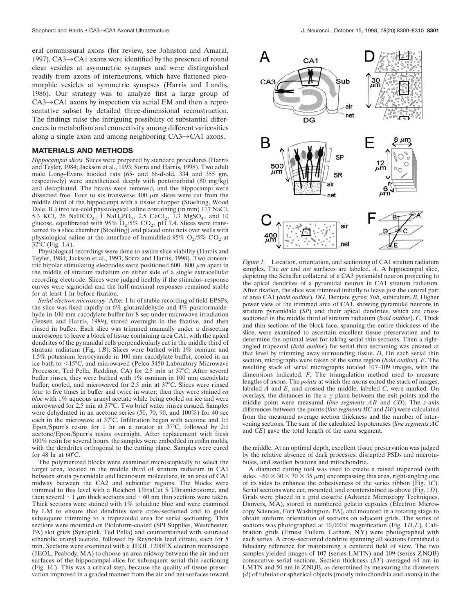eral commissural axons (for review, see Johnston and Amaral, 1997). CA3 $\rightarrow$ CA1 axons were identified by the presence of round clear vesicles at asymmetric synapses and were distinguished readily from axons of interneurons, which have flattened pleomorphic vesicles at symmetric synapses (Harris and Landis, 1986). Our strategy was to analyze first a large group of  $CA3 \rightarrow CA1$  axons by inspection via serial EM and then a representative subset by detailed three-dimensional reconstruction. The findings raise the intriguing possibility of substantial differences in metabolism and connectivity among different varicosities along a single axon and among neighboring  $CA3 \rightarrow CA1$  axons.

# **MATERIALS AND METHODS**

*Hippocampal slices.* Slices were prepared by standard procedures (Harris and Teyler, 1984; Jackson et al., 1993; Sorra and Harris, 1998). Two adult male Long–Evans hooded rats (65- and 66-d-old, 334 and 355 gm, respectively) were anesthetized deeply with pentobarbital (80 mg/kg) and decapitated. The brains were removed, and the hippocampi were dissected free. Four to six transverse  $400 \mu m$  slices were cut from the middle third of the hippocampi with a tissue chopper (Stoelting, Wood Dale, IL) into ice-cold physiological saline containing (in mm) 117 NaCl, 5.3 KCl, 26 NaHCO<sub>3</sub>, 1 NaH<sub>2</sub>PO<sub>4</sub>, 2.5 CaCl<sub>2</sub>, 1.3 MgSO<sub>4</sub>, and 10 glucose, equilibrated with 95%  $O_2/\sqrt{5}$ %  $CO_2$ , pH 7.4. Slices were transferred to a slice chamber (Stoelting) and placed onto nets over wells with physiological saline at the interface of humidified 95%  $O_2/5\%$  CO<sub>2</sub> at 32°C (Fig. 1*A*).

Physiological recordings were done to assure slice viability (Harris and Teyler, 1984; Jackson et al., 1993; Sorra and Harris, 1998). Two concentric bipolar stimulating electrodes were positioned  $600-800 \mu m$  apart in the middle of stratum radiatum on either side of a single extracellular recording electrode. Slices were judged healthy if the stimulus–response curves were sigmoidal and the half-maximal responses remained stable for at least 1 hr before fixation.

*Serial electron microscopy.* After 1 hr of stable recording of field EPSPs, the slice was fixed rapidly in 6% glutaraldehyde and 4% paraformaldehyde in 100 mm cacodylate buffer for 8 sec under microwave irradiation (Jensen and Harris, 1989), stored overnight in the fixative, and then rinsed in buffer. Each slice was trimmed manually under a dissecting microscope to leave a block of tissue containing area CA1, with the apical dendrites of the pyramidal cells perpendicularly cut in the middle third of stratum radiatum (Fig. 1*B*). Slices were bathed with 1% osmium and 1.5% potassium ferrocyanide in 100 mm cacodylate buffer, cooled in an ice bath to <15°C, and microwaved (Pelco 3450 Laboratory Microwave Processor, Ted Pella, Redding, CA) for 2.5 min at 37°C. After several buffer rinses, they were bathed with 1% osmium in 100 mm cacodylate buffer, cooled, and microwaved for 2.5 min at 37°C. Slices were rinsed four to five times in buffer and twice in water; then they were stained *en bloc* with 1% aqueous uranyl acetate while being cooled on ice and were microwaved for 2.5 min at 37°C. Two brief water rinses ensued. Samples were dehydrated in an acetone series (50, 70, 90, and 100%) for 40 sec each in the microwave at 37°C. Infiltration began with acetone and 1:1 Epon/Spurr's resins for 1 hr on a rotator at 37°C, followed by 2:1 acetone/Epon/Spurr's resins overnight. After replacement with fresh 100% resin for several hours, the samples were embedded in coffin molds, with the dendrites orthogonal to the cutting plane. Samples were cured for 48 hr at  $60^{\circ}$ C.

The polymerized blocks were examined microscopically to select the target area, located in the middle third of stratum radiatum in CA1 between strata pyramidale and lacunosum moleculare, in an area of CA1 midway between the CA2 and subicular regions. The blocks were trimmed to this level with a Reichert UltraCut S Ultramicrotome, and then several  $\sim$ 1  $\mu$ m thick sections and  $\sim$ 60 nm thin sections were taken. Thick sections were stained with 1% toluidine blue and were examined by LM to ensure that dendrites were cross-sectioned and to guide subsequent trimming to a trapezoidal area for serial sectioning. Thin sections were mounted on Pioloform-coated (SPI Supplies, Westchester, PA) slot grids (Synaptek, Ted Pella) and counterstained with saturated ethanolic uranyl acetate, followed by Reynolds lead citrate, each for 5 min. Sections were examined with a JEOL 1200EX electron microscope (JEOL, Peabody, MA) to choose an area midway between the air and net surfaces of the hippocampal slice for subsequent serial thin sectioning (Fig. 1*C*). This was a critical step, because the quality of tissue preservation improved in a graded manner from the air and net surfaces toward



*Figure 1.* Location, orientation, and sectioning of CA1 stratum radiatum samples. The *air* and *net* surfaces are labeled. *A*, A hippocampal slice, depicting the Schaffer collateral of a CA3 pyramidal neuron projecting to the apical dendrites of a pyramidal neuron in CA1 stratum radiatum. After fixation, the slice was trimmed initially to leave just the central part of area CA1 (*bold outline*). *DG*, Dentate gyrus; *Sub*, subiculum. *B*, Higher power view of the trimmed area of CA1, showing pyramidal neurons in stratum pyramidale *(SP)* and their apical dendrites, which are crosssectioned in the middle third of stratum radiatum (*bold outline*). *C*, Thick and thin sections of the block face, spanning the entire thickness of the slice, were examined to ascertain excellent tissue preservation and to determine the optimal level for taking serial thin sections. Then a rightangled trapezoid (*bold outline*) for serial thin sectioning was created at that level by trimming away surrounding tissue. *D*, On each serial thin section, micrographs were taken of the same region (*bold outline*). *E*, The resulting stack of serial micrographs totaled 107–109 images, with the dimensions indicated. *F*, The triangulation method used to measure lengths of axons. The *points* at which the axons exited the stack of images, labeled *A* and *E*, and crossed the middle, labeled *C*, were marked. On overlays, the distances in the *x–y* plane between the exit points and the middle point were measured (*line segments AB* and *CD*). The *z*-axis differences between the points (*line segments BC* and *DE*) were calculated from the measured average section thickness and the number of intervening sections. The sum of the calculated hypotenuses (*line segments AC* and *CE*) gave the total length of the axon segment.

the middle. At an optimal depth, excellent tissue preservation was judged by the relative absence of dark processes, disrupted PSDs and microtubules, and swollen boutons and mitochondria.

A diamond cutting tool was used to create a raised trapezoid (with sides  $\sim 60 \times 30 \times 30 \times 35 \mu$ m) encompassing this area, right-angling one of its sides to enhance the cohesiveness of the series ribbon (Fig. 1*C*). Serial sections were cut, mounted, and counterstained as above (Fig. 1*D*). Grids were placed in a grid cassette (Advance Microscopy Techniques, Danvers, MA), stored in numbered gelatin capsules (Electron Microscopy Sciences, Fort Washington, PA), and mounted in a rotating stage to obtain uniform orientation of sections on adjacent grids. The series of sections was photographed at  $10,000 \times$  magnification (Fig. 1*D,E*). Calibration grids (Ernest Fullam, Latham, NY) were photographed with each series. A cross-sectioned dendrite spanning all sections furnished a fiduciary reference for maintaining a centered field of view. The two samples yielded images of 107 (series LMTN) and 109 (series ZNQB) consecutive serial sections. Section thickness (*ST*) averaged 64 nm in LMTN and 50 nm in ZNQB, as determined by measuring the diameters (*d*) of tubular or spherical objects (mostly mitochondria and axons) in the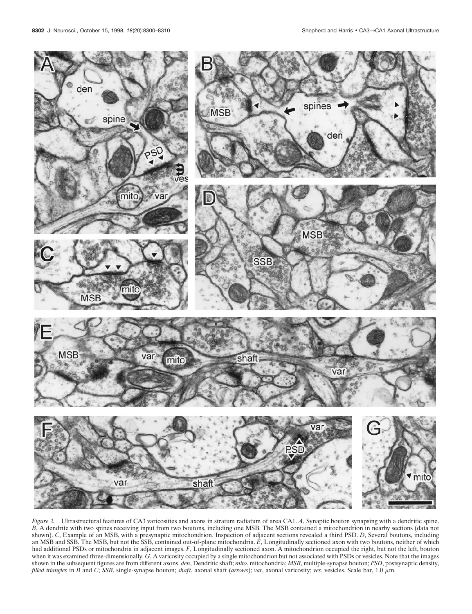

*Figure 2.* Ultrastructural features of CA3 varicosities and axons in stratum radiatum of area CA1. *A*, Synaptic bouton synapsing with a dendritic spine. *B*, A dendrite with two spines receiving input from two boutons, including one MSB. The MSB contained a mitochondrion in nearby sections (data not shown). *C*, Example of an MSB, with a presynaptic mitochondrion. Inspection of adjacent sections revealed a third PSD. *D*, Several boutons, including an MSB and SSB. The MSB, but not the SSB, contained out-of-plane mitochondria. *E*, Longitudinally sectioned axon with two boutons, neither of which had additional PSDs or mitochondria in adjacent images. *F*, Longitudinally sectioned axon. A mitochondrion occupied the right, but not the left, bouton when it was examined three-dimensionally. *G*, A varicosity occupied by a single mitochondrion but not associated with PSDs or vesicles. Note that the images shown in the subsequent figures are from different axons. *den*, Dendritic shaft; *mito*, mitochondria; *MSB*, multiple-synapse bouton; *PSD*, postsynaptic density, *filled triangles* in *B* and *C*; *SSB*, single-synapse bouton; *shaft*, axonal shaft (*arrows*); *var*, axonal varicosity; *ves*, vesicles. Scale bar, 1.0 <sup>m</sup>m.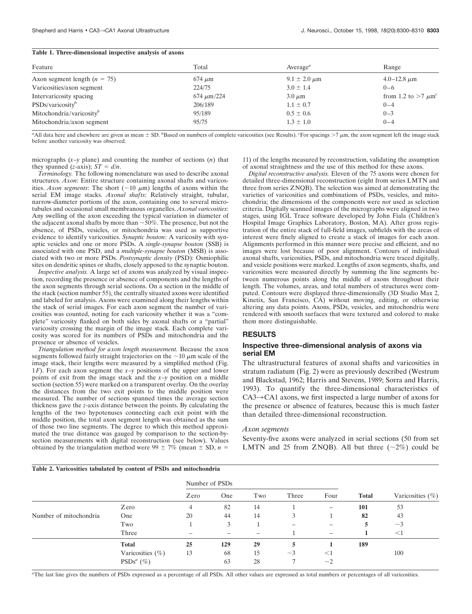## **Table 1. Three-dimensional inspective analysis of axons**

| Feature                              | Total           | Average <sup><math>a</math></sup> | Range                    |
|--------------------------------------|-----------------|-----------------------------------|--------------------------|
| Axon segment length $(n = 75)$       | $674 \mu m$     | $9.1 \pm 2.0 \,\mu m$             | $4.0 - 12.8 \mu m$       |
| Varicosities/axon segment            | 224/75          | $3.0 \pm 1.4$                     | $0 - 6$                  |
| Intervaricosity spacing              | $674 \mu m/224$ | $3.0 \mu m$                       | from 1.2 to $>7 \mu m^c$ |
| PSDs/varicosity <sup>b</sup>         | 206/189         | $1.1 \pm 0.7$                     | $0 - 4$                  |
| Mitochondria/varicosity <sup>b</sup> | 95/189          | $0.5 \pm 0.6$                     | $0 - 3$                  |
| Mitochondria/axon segment            | 95/75           | $1.3 \pm 1.0$                     | $0 - 4$                  |

<sup>a</sup>All data here and elsewhere are given as mean  $\pm$  SD. <sup>*b*</sup>Based on numbers of complete varicosities (see Results). *C*For spacings >7  $\mu$ m, the axon segment left the image stack before another varicosity was observed.

micrographs (*x–y* plane) and counting the number of sections (*n*) that they spanned (*z*-axis);  $ST = d/n$ .

*Terminology.* The following nomenclature was used to describe axonal structures. *Axon*: Entire structure containing axonal shafts and varicosities. *Axon segments*: The short ( $\sim$ 10  $\mu$ m) lengths of axons within the serial EM image stacks. *Axonal shafts*: Relatively straight, tubular, narrow-diameter portions of the axon, containing one to several microtubules and occasional small membranous organelles. *Axonal varicosities*: Any swelling of the axon exceeding the typical variation in diameter of the adjacent axonal shafts by more than  $\sim$ 50%. The presence, but not the absence, of PSDs, vesicles, or mitochondria was used as supportive evidence to identify varicosities. *Synaptic bouton*: A varicosity with synaptic vesicles and one or more PSDs. A *single-synapse bouton* (SSB) is associated with one PSD, and a *multiple-synapse bouton* (MSB) is associated with two or more PSDs. *Postsynaptic density* (PSD): Osmiophilic sites on dendritic spines or shafts, closely apposed to the synaptic bouton.

*Inspective analysis.* A large set of axons was analyzed by visual inspection, recording the presence or absence of components and the lengths of the axon segments through serial sections. On a section in the middle of the stack (section number 55), the centrally situated axons were identified and labeled for analysis. Axons were examined along their lengths within the stack of serial images. For each axon segment the number of varicosities was counted, noting for each varicosity whether it was a "complete" varicosity flanked on both sides by axonal shafts or a "partial" varicosity crossing the margin of the image stack. Each complete varicosity was scored for its numbers of PSDs and mitochondria and the presence or absence of vesicles.

*Triangulation method for axon length measurement.* Because the axon segments followed fairly straight trajectories on the  $\sim$ 10  $\mu$ m scale of the image stack, their lengths were measured by a simplified method (Fig. 1*F*). For each axon segment the *x–y* positions of the upper and lower points of exit from the image stack and the *x–y* position on a middle section (section 55) were marked on a transparent overlay. On the overlay the distances from the two exit points to the middle position were measured. The number of sections spanned times the average section thickness gave the *z*-axis distance between the points. By calculating the lengths of the two hypotenuses connecting each exit point with the middle position, the total axon segment length was obtained as the sum of those two line segments. The degree to which this method approximated the true distance was gauged by comparison to the section-bysection measurements with digital reconstruction (see below). Values obtained by the triangulation method were 99  $\pm$  7% (mean  $\pm$  SD, *n* =

**Table 2. Varicosities tabulated by content of PSDs and mitochondria**

11) of the lengths measured by reconstruction, validating the assumption of axonal straightness and the use of this method for these axons.

*Digital reconstructive analysis.* Eleven of the 75 axons were chosen for detailed three-dimensional reconstruction (eight from series LMTN and three from series ZNQB). The selection was aimed at demonstrating the varieties of varicosities and combinations of PSDs, vesicles, and mitochondria; the dimensions of the components were *not* used as selection criteria. Digitally scanned images of the micrographs were aligned in two stages, using IGL Trace software developed by John Fiala (Children's Hospital Image Graphics Laboratory, Boston, MA). After gross registration of the entire stack of full-field images, subfields with the areas of interest were finely aligned to create a stack of images for each axon. Alignments performed in this manner were precise and efficient, and no images were lost because of poor alignment. Contours of individual axonal shafts, varicosities, PSDs, and mitochondria were traced digitally, and vesicle positions were marked. Lengths of axon segments, shafts, and varicosities were measured directly by summing the line segments between numerous points along the middle of axons throughout their length. The volumes, areas, and total numbers of structures were computed. Contours were displayed three-dimensionally (3D Studio Max 2, Kinetix, San Francisco, CA) without moving, editing, or otherwise altering any data points. Axons, PSDs, vesicles, and mitochondria were rendered with smooth surfaces that were textured and colored to make them more distinguishable.

# **RESULTS**

#### **Inspective three-dimensional analysis of axons via serial EM**

The ultrastructural features of axonal shafts and varicosities in stratum radiatum (Fig. 2) were as previously described (Westrum and Blackstad, 1962; Harris and Stevens, 1989; Sorra and Harris, 1993). To quantify the three-dimensional characteristics of  $CA3 \rightarrow CA1$  axons, we first inspected a large number of axons for the presence or absence of features, because this is much faster than detailed three-dimensional reconstruction.

#### *Axon segments*

Seventy-five axons were analyzed in serial sections (50 from set LMTN and 25 from ZNOB). All but three  $(\sim 2\%)$  could be

|                        |                     | Number of PSDs |     |     |          |          |              |                      |
|------------------------|---------------------|----------------|-----|-----|----------|----------|--------------|----------------------|
|                        |                     | Zero           | One | Two | Three    | Four     | <b>Total</b> | Varicosities $(\% )$ |
|                        | Zero                | 4              | 82  | 14  |          | $-$      | 101          | 53                   |
| Number of mitochondria | One                 | 20             | 44  | 14  |          |          | 82           | 43                   |
|                        | Two                 |                |     |     | -        | -        | 5            | $\sim$ 3             |
|                        | Three               |                |     | -   |          | -        |              | $<$ 1                |
|                        | <b>Total</b>        | 25             | 129 | 29  |          |          | 189          |                      |
|                        | Varicosities $(\%)$ | 13             | 68  | 15  | $\sim$ 3 | $<$ 1    |              | 100                  |
|                        | $PSDs^{a}$ (%)      |                | 63  | 28  |          | $\sim$ 2 |              |                      |

*a* The last line gives the numbers of PSDs expressed as a percentage of all PSDs. All other values are expressed as total numbers or percentages of all varicosities.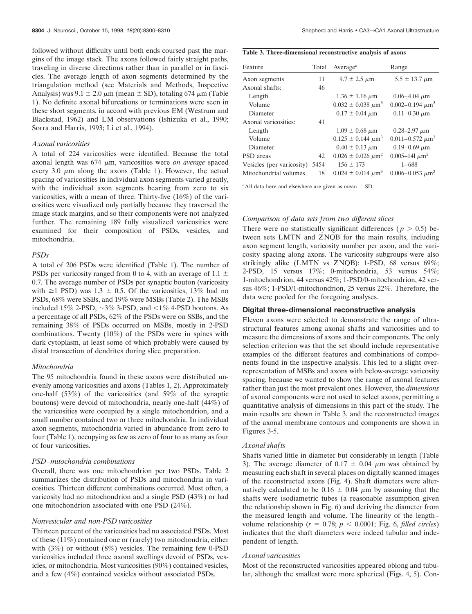followed without difficulty until both ends coursed past the margins of the image stack. The axons followed fairly straight paths, traveling in diverse directions rather than in parallel or in fascicles. The average length of axon segments determined by the triangulation method (see Materials and Methods, Inspective Analysis) was  $9.1 \pm 2.0 \mu m$  (mean  $\pm$  SD), totaling 674  $\mu$ m (Table 1). No definite axonal bifurcations or terminations were seen in these short segments, in accord with previous EM (Westrum and Blackstad, 1962) and LM observations (Ishizuka et al., 1990; Sorra and Harris, 1993; Li et al., 1994).

# *Axonal varicosities*

A total of 224 varicosities were identified. Because the total axonal length was 674  $\mu$ m, varicosities were *on average* spaced every 3.0  $\mu$ m along the axons (Table 1). However, the actual spacing of varicosities in individual axon segments varied greatly, with the individual axon segments bearing from zero to six varicosities, with a mean of three. Thirty-five (16%) of the varicosities were visualized only partially because they traversed the image stack margins, and so their components were not analyzed further. The remaining 189 fully visualized varicosities were examined for their composition of PSDs, vesicles, and mitochondria.

#### *PSDs*

A total of 206 PSDs were identified (Table 1). The number of PSDs per varicosity ranged from 0 to 4, with an average of 1.1  $\pm$ 0.7. The average number of PSDs per synaptic bouton (varicosity with  $\geq$ 1 PSD) was 1.3  $\pm$  0.5. Of the varicosities, 13% had no PSDs, 68% were SSBs, and 19% were MSBs (Table 2). The MSBs included 15% 2-PSD,  $\sim$ 3% 3-PSD, and  $\lt$ 1% 4-PSD boutons. As a percentage of all PSDs, 62% of the PSDs were on SSBs, and the remaining 38% of PSDs occurred on MSBs, mostly in 2-PSD combinations. Twenty (10%) of the PSDs were in spines with dark cytoplasm, at least some of which probably were caused by distal transection of dendrites during slice preparation.

#### *Mitochondria*

The 95 mitochondria found in these axons were distributed unevenly among varicosities and axons (Tables 1, 2). Approximately one-half (53%) of the varicosities (and 59% of the synaptic boutons) were devoid of mitochondria, nearly one-half (44%) of the varicosities were occupied by a single mitochondrion, and a small number contained two or three mitochondria. In individual axon segments, mitochondria varied in abundance from zero to four (Table 1), occupying as few as zero of four to as many as four of four varicosities.

# *PSD–mitochondria combinations*

Overall, there was one mitochondrion per two PSDs. Table 2 summarizes the distribution of PSDs and mitochondria in varicosities. Thirteen different combinations occurred. Most often, a varicosity had no mitochondrion and a single PSD (43%) or had one mitochondrion associated with one PSD (24%).

#### *Nonvesicular and non-PSD varicosities*

Thirteen percent of the varicosities had no associated PSDs. Most of these (11%) contained one or (rarely) two mitochondria, either with (3%) or without (8%) vesicles. The remaining few 0-PSD varicosities included three axonal swellings devoid of PSDs, vesicles, or mitochondria. Most varicosities (90%) contained vesicles, and a few (4%) contained vesicles without associated PSDs.

| Table 3. Three-dimensional reconstructive analysis of axons |  |  |
|-------------------------------------------------------------|--|--|
|                                                             |  |  |

| Feature                        | Total | Average <sup><math>a</math></sup> | Range                            |
|--------------------------------|-------|-----------------------------------|----------------------------------|
| Axon segments                  | 11    | $9.7 \pm 2.5 \mu m$               | $5.5 \pm 13.7 \,\mu m$           |
| Axonal shafts:                 | 46    |                                   |                                  |
| Length                         |       | $1.36 \pm 1.16 \,\mu m$           | $0.06 - 4.04 \mu m$              |
| Volume                         |       | $0.032 \pm 0.038 \ \mu m^3$       | 0.002-0.194 $\mu$ m <sup>3</sup> |
| Diameter                       |       | $0.17 \pm 0.04 \mu m$             | $0.11 - 0.30 \mu m$              |
| Axonal varicosities:           | 41    |                                   |                                  |
| Length                         |       | $1.09 \pm 0.68 \mu m$             | $0.28 - 2.97 \mu m$              |
| Volume                         |       | $0.125 \pm 0.144 \ \mu m^3$       | $0.011 - 0.572 \mu m^3$          |
| Diameter                       |       | $0.40 \pm 0.13 \mu m$             | $0.19 - 0.69 \mu m$              |
| PSD areas                      | 42    | $0.026 \pm 0.026 \ \mu m^2$       | 0.005–141 $\mu$ m <sup>2</sup>   |
| Vesicles (per varicosity) 5454 |       | $156 \pm 173$                     | $1 - 688$                        |
| Mitochondrial volumes          | 18    | $0.024 \pm 0.014 \ \mu m^3$       | $0.006 - 0.053 \mu m^3$          |

 $a$ All data here and elsewhere are given as mean  $\pm$  SD.

# *Comparison of data sets from two different slices*

There were no statistically significant differences ( $p > 0.5$ ) between sets LMTN and ZNQB for the main results, including axon segment length, varicosity number per axon, and the varicosity spacing along axons. The varicosity subgroups were also strikingly alike (LMTN vs ZNQB): 1-PSD, 68 versus 69%; 2-PSD, 15 versus 17%; 0-mitochondria, 53 versus 54%; 1-mitochondrion, 44 versus 42%; 1-PSD/0-mitochondrion, 42 versus 46%; 1-PSD/1-mitochondrion, 25 versus 22%. Therefore, the data were pooled for the foregoing analyses.

# **Digital three-dimensional reconstructive analysis**

Eleven axons were selected to demonstrate the range of ultrastructural features among axonal shafts and varicosities and to measure the dimensions of axons and their components. The only selection criterion was that the set should include representative examples of the different features and combinations of components found in the inspective analysis. This led to a slight overrepresentation of MSBs and axons with below-average varicosity spacing, because we wanted to show the range of axonal features rather than just the most prevalent ones. However, the *dimensions* of axonal components were not used to select axons, permitting a quantitative analysis of dimensions in this part of the study. The main results are shown in Table 3, and the reconstructed images of the axonal membrane contours and components are shown in Figures 3-5.

#### *Axonal shafts*

Shafts varied little in diameter but considerably in length (Table 3). The average diameter of 0.17  $\pm$  0.04  $\mu$ m was obtained by measuring each shaft in several places on digitally scanned images of the reconstructed axons (Fig. 4). Shaft diameters were alternatively calculated to be 0.16  $\pm$  0.04  $\mu$ m by assuming that the shafts were isodiametric tubes (a reasonable assumption given the relationship shown in Fig. 6) and deriving the diameter from the measured length and volume. The linearity of the length– volume relationship ( $r = 0.78$ ;  $p < 0.0001$ ; Fig. 6, *filled circles*) indicates that the shaft diameters were indeed tubular and independent of length.

#### *Axonal varicosities*

Most of the reconstructed varicosities appeared oblong and tubular, although the smallest were more spherical (Figs. 4, 5). Con-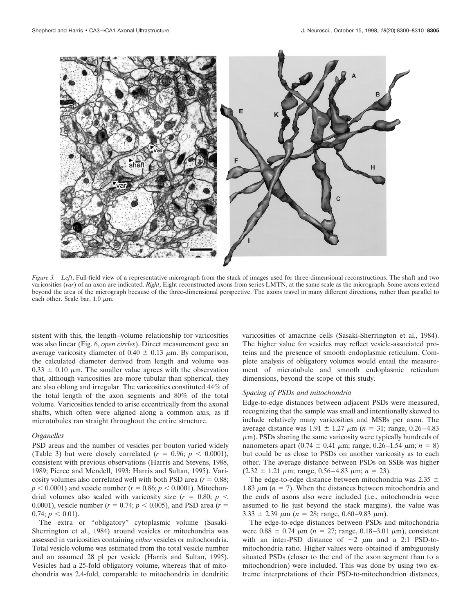

*Figure 3. Left*, Full-field view of a representative micrograph from the stack of images used for three-dimensional reconstructions. The shaft and two varicosities (*var*) of an axon are indicated. *Right*, Eight reconstructed axons from series LMTN, at the same scale as the micrograph. Some axons extend beyond the area of the micrograph because of the three-dimensional perspective. The axons travel in many different directions, rather than parallel to each other. Scale bar,  $1.0 \mu m$ .

sistent with this, the length–volume relationship for varicosities was also linear (Fig. 6, *open circles*). Direct measurement gave an average varicosity diameter of 0.40  $\pm$  0.13  $\mu$ m. By comparison, the calculated diameter derived from length and volume was  $0.33 \pm 0.10$  µm. The smaller value agrees with the observation that, although varicosities are more tubular than spherical, they are also oblong and irregular. The varicosities constituted 44% of the total length of the axon segments and 80% of the total volume. Varicosities tended to arise eccentrically from the axonal shafts, which often were aligned along a common axis, as if microtubules ran straight throughout the entire structure.

#### *Organelles*

PSD areas and the number of vesicles per bouton varied widely (Table 3) but were closely correlated  $(r = 0.96; p < 0.0001)$ , consistent with previous observations (Harris and Stevens, 1988, 1989; Pierce and Mendell, 1993; Harris and Sultan, 1995). Varicosity volumes also correlated well with both PSD area  $(r = 0.88;$  $p < 0.0001$ ) and vesicle number ( $r = 0.86$ ;  $p < 0.0001$ ). Mitochondrial volumes also scaled with varicosity size  $(r = 0.80; p <$ 0.0001), vesicle number  $(r = 0.74; p < 0.005)$ , and PSD area  $(r = 0.0001)$  $0.74$ ;  $p < 0.01$ ).

The extra or "obligatory" cytoplasmic volume (Sasaki-Sherrington et al., 1984) around vesicles or mitochondria was assessed in varicosities containing *either* vesicles or mitochondria. Total vesicle volume was estimated from the total vesicle number and an assumed 28 pl per vesicle (Harris and Sultan, 1995). Vesicles had a 25-fold obligatory volume, whereas that of mitochondria was 2.4-fold, comparable to mitochondria in dendritic varicosities of amacrine cells (Sasaki-Sherrington et al., 1984). The higher value for vesicles may reflect vesicle-associated proteins and the presence of smooth endoplasmic reticulum. Complete analysis of obligatory volumes would entail the measurement of microtubule and smooth endoplasmic reticulum dimensions, beyond the scope of this study.

# *Spacing of PSDs and mitochondria*

Edge-to-edge distances between adjacent PSDs were measured, recognizing that the sample was small and intentionally skewed to include relatively many varicosities and MSBs per axon. The average distance was  $1.91 \pm 1.27 \mu m$  (*n* = 31; range, 0.26–4.83)  $\mu$ m). PSDs sharing the same varicosity were typically hundreds of nanometers apart (0.74  $\pm$  0.41  $\mu$ m; range, 0.26–1.54  $\mu$ m; *n* = 8) but could be as close to PSDs on another varicosity as to each other. The average distance between PSDs on SSBs was higher  $(2.32 \pm 1.21 \mu m; \text{range}, 0.56-4.83 \mu m; n = 23).$ 

The edge-to-edge distance between mitochondria was  $2.35 \pm$ 1.83  $\mu$ m ( $n = 7$ ). When the distances between mitochondria and the ends of axons also were included (i.e., mitochondria were assumed to lie just beyond the stack margins), the value was 3.33  $\pm$  2.39  $\mu$ m (*n* = 28; range, 0.60–9.83  $\mu$ m).

The edge-to-edge distances between PSDs and mitochondria were  $0.88 \pm 0.74 \mu m$  ( $n = 27$ ; range, 0.18–3.01  $\mu$ m), consistent with an inter-PSD distance of  $\sim$ 2  $\mu$ m and a 2:1 PSD-tomitochondria ratio. Higher values were obtained if ambiguously situated PSDs (closer to the end of the axon segment than to a mitochondrion) were included. This was done by using two extreme interpretations of their PSD-to-mitochondrion distances,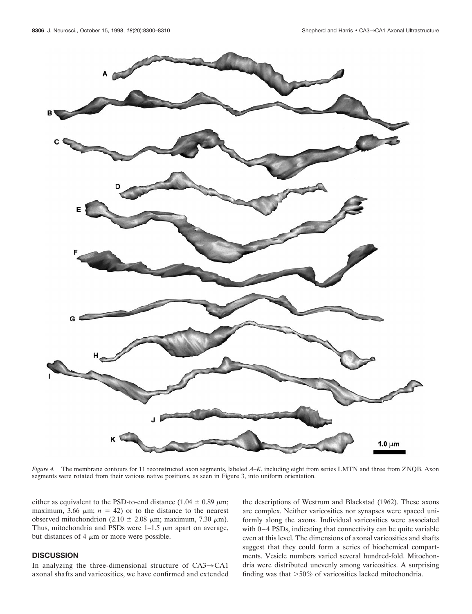

*Figure 4.* The membrane contours for 11 reconstructed axon segments, labeled *A–K*, including eight from series LMTN and three from ZNQB. Axon segments were rotated from their various native positions, as seen in Figure 3, into uniform orientation.

either as equivalent to the PSD-to-end distance (1.04  $\pm$  0.89  $\mu$ m; maximum, 3.66  $\mu$ m; *n* = 42) or to the distance to the nearest observed mitochondrion (2.10  $\pm$  2.08  $\mu$ m; maximum, 7.30  $\mu$ m). Thus, mitochondria and PSDs were  $1-1.5 \mu m$  apart on average, but distances of 4  $\mu$ m or more were possible.

# **DISCUSSION**

In analyzing the three-dimensional structure of  $CA3 \rightarrow CA1$ axonal shafts and varicosities, we have confirmed and extended the descriptions of Westrum and Blackstad (1962). These axons are complex. Neither varicosities nor synapses were spaced uniformly along the axons. Individual varicosities were associated with 0–4 PSDs, indicating that connectivity can be quite variable even at this level. The dimensions of axonal varicosities and shafts suggest that they could form a series of biochemical compartments. Vesicle numbers varied several hundred-fold. Mitochondria were distributed unevenly among varicosities. A surprising finding was that  $>50\%$  of varicosities lacked mitochondria.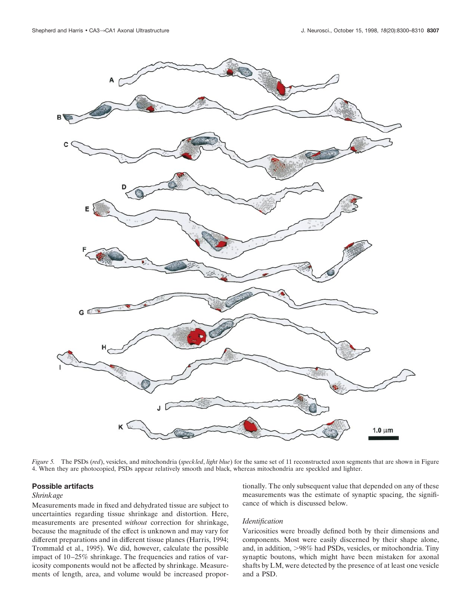

*Figure 5.* The PSDs (*red*), vesicles, and mitochondria (*speckled*, *light blue*) for the same set of 11 reconstructed axon segments that are shown in Figure 4. When they are photocopied, PSDs appear relatively smooth and black, whereas mitochondria are speckled and lighter.

## **Possible artifacts**

## *Shrinkage*

Measurements made in fixed and dehydrated tissue are subject to uncertainties regarding tissue shrinkage and distortion. Here, measurements are presented *without* correction for shrinkage, because the magnitude of the effect is unknown and may vary for different preparations and in different tissue planes (Harris, 1994; Trommald et al., 1995). We did, however, calculate the possible impact of 10–25% shrinkage. The frequencies and ratios of varicosity components would not be affected by shrinkage. Measurements of length, area, and volume would be increased proportionally. The only subsequent value that depended on any of these measurements was the estimate of synaptic spacing, the significance of which is discussed below.

#### *Identification*

Varicosities were broadly defined both by their dimensions and components. Most were easily discerned by their shape alone, and, in addition, >98% had PSDs, vesicles, or mitochondria. Tiny synaptic boutons, which might have been mistaken for axonal shafts by LM, were detected by the presence of at least one vesicle and a PSD.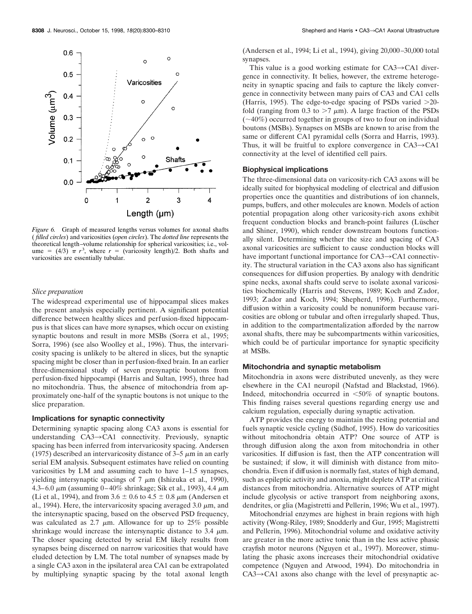

*Figure 6.* Graph of measured lengths versus volumes for axonal shafts ( *filled circles*) and varicosities (*open circles*). The *dotted line* represents the theoretical length–volume relationship for spherical varicosities; i.e., volume =  $(4/3)$   $\pi$   $r^3$ , where  $r =$  (varicosity length)/2. Both shafts and varicosities are essentially tubular.

#### *Slice preparation*

The widespread experimental use of hippocampal slices makes the present analysis especially pertinent. A significant potential difference between healthy slices and perfusion-fixed hippocampus is that slices can have more synapses, which occur on existing synaptic boutons and result in more MSBs (Sorra et al., 1995; Sorra, 1996) (see also Woolley et al., 1996). Thus, the intervaricosity spacing is unlikely to be altered in slices, but the synaptic spacing might be closer than in perfusion-fixed brain. In an earlier three-dimensional study of seven presynaptic boutons from perfusion-fixed hippocampi (Harris and Sultan, 1995), three had no mitochondria. Thus, the absence of mitochondria from approximately one-half of the synaptic boutons is not unique to the slice preparation.

# **Implications for synaptic connectivity**

Determining synaptic spacing along CA3 axons is essential for understanding  $CA3 \rightarrow CA1$  connectivity. Previously, synaptic spacing has been inferred from intervaricosity spacing. Andersen (1975) described an intervaricosity distance of  $3-5 \mu m$  in an early serial EM analysis. Subsequent estimates have relied on counting varicosities by LM and assuming each to have 1–1.5 synapses, yielding intersynaptic spacings of  $7 \mu m$  (Ishizuka et al., 1990), 4.3–6.0  $\mu$ m (assuming 0–40% shrinkage; Sik et al., 1993), 4.4  $\mu$ m (Li et al., 1994), and from  $3.6 \pm 0.6$  to  $4.5 \pm 0.8$   $\mu$ m (Andersen et al., 1994). Here, the intervaricosity spacing averaged 3.0  $\mu$ m, and the intersynaptic spacing, based on the observed PSD frequency, was calculated as 2.7  $\mu$ m. Allowance for up to 25% possible shrinkage would increase the intersynaptic distance to 3.4  $\mu$ m. The closer spacing detected by serial EM likely results from synapses being discerned on narrow varicosities that would have eluded detection by LM. The total number of synapses made by a single CA3 axon in the ipsilateral area CA1 can be extrapolated by multiplying synaptic spacing by the total axonal length

(Andersen et al., 1994; Li et al., 1994), giving 20,000–30,000 total synapses.

This value is a good working estimate for  $CA3 \rightarrow CA1$  divergence in connectivity. It belies, however, the extreme heterogeneity in synaptic spacing and fails to capture the likely convergence in connectivity between many pairs of CA3 and CA1 cells (Harris, 1995). The edge-to-edge spacing of PSDs varied  $>20$ fold (ranging from 0.3 to  $>7 \mu$ m). A large fraction of the PSDs  $(\sim 40\%)$  occurred together in groups of two to four on individual boutons (MSBs). Synapses on MSBs are known to arise from the same or different CA1 pyramidal cells (Sorra and Harris, 1993). Thus, it will be fruitful to explore convergence in  $CA3 \rightarrow CA1$ connectivity at the level of identified cell pairs.

# **Biophysical implications**

The three-dimensional data on varicosity-rich CA3 axons will be ideally suited for biophysical modeling of electrical and diffusion properties once the quantities and distributions of ion channels, pumps, buffers, and other molecules are known. Models of action potential propagation along other varicosity-rich axons exhibit frequent conduction blocks and branch-point failures (Lüscher and Shiner, 1990), which render downstream boutons functionally silent. Determining whether the size and spacing of CA3 axonal varicosities are sufficient to cause conduction blocks will have important functional importance for  $CA3 \rightarrow CA1$  connectivity. The structural variation in the CA3 axons also has significant consequences for diffusion properties. By analogy with dendritic spine necks, axonal shafts could serve to isolate axonal varicosities biochemically (Harris and Stevens, 1989; Koch and Zador, 1993; Zador and Koch, 1994; Shepherd, 1996). Furthermore, diffusion within a varicosity could be nonuniform because varicosities are oblong or tubular and often irregularly shaped. Thus, in addition to the compartmentalization afforded by the narrow axonal shafts, there may be subcompartments within varicosities, which could be of particular importance for synaptic specificity at MSBs.

#### **Mitochondria and synaptic metabolism**

Mitochondria in axons were distributed unevenly, as they were elsewhere in the CA1 neuropil (Nafstad and Blackstad, 1966). Indeed, mitochondria occurred in  $\leq 50\%$  of synaptic boutons. This finding raises several questions regarding energy use and calcium regulation, especially during synaptic activation.

ATP provides the energy to maintain the resting potential and fuels synaptic vesicle cycling (Südhof, 1995). How do varicosities without mitochondria obtain ATP? One source of ATP is through diffusion along the axon from mitochondria in other varicosities. If diffusion is fast, then the ATP concentration will be sustained; if slow, it will diminish with distance from mitochondria. Even if diffusion is normally fast, states of high demand, such as epileptic activity and anoxia, might deplete ATP at critical distances from mitochondria. Alternative sources of ATP might include glycolysis or active transport from neighboring axons, dendrites, or glia (Magistretti and Pellerin, 1996; Wu et al., 1997).

Mitochondrial enzymes are highest in brain regions with high activity (Wong-Riley, 1989; Snodderly and Gur, 1995; Magistretti and Pellerin, 1996). Mitochondrial volume and oxidative activity are greater in the more active tonic than in the less active phasic crayfish motor neurons (Nguyen et al., 1997). Moreover, stimulating the phasic axons increases their mitochondrial oxidative competence (Nguyen and Atwood, 1994). Do mitochondria in  $CA3 \rightarrow CA1$  axons also change with the level of presynaptic ac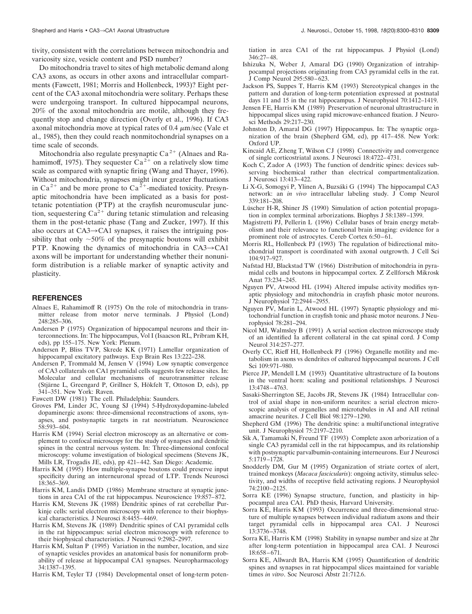tivity, consistent with the correlations between mitochondria and varicosity size, vesicle content and PSD number?

Do mitochondria travel to sites of high metabolic demand along CA3 axons, as occurs in other axons and intracellular compartments (Fawcett, 1981; Morris and Hollenbeck, 1993)? Eight percent of the CA3 axonal mitochondria were solitary. Perhaps these were undergoing transport. In cultured hippocampal neurons, 20% of the axonal mitochondria are motile, although they frequently stop and change direction (Overly et al., 1996). If CA3 axonal mitochondria move at typical rates of 0.4  $\mu$ m/sec (Vale et al., 1985), then they could reach nonmitochondrial synapses on a time scale of seconds.

Mitochondria also regulate presynaptic  $Ca^{2+}$  (Alnaes and Rahamimoff, 1975). They sequester  $Ca^{2+}$  on a relatively slow time scale as compared with synaptic firing (Wang and Thayer, 1996). Without mitochondria, synapses might incur greater fluctuations in Ca<sup>2+</sup> and be more prone to Ca<sup>2+</sup>-mediated toxicity. Presynaptic mitochondria have been implicated as a basis for posttetanic potentiation (PTP) at the crayfish neuromuscular junction, sequestering  $Ca^{2+}$  during tetanic stimulation and releasing them in the post-tetanic phase (Tang and Zucker, 1997). If this also occurs at  $CA3 \rightarrow CA1$  synapses, it raises the intriguing possibility that only  $\sim$ 50% of the presynaptic boutons will exhibit PTP. Knowing the dynamics of mitochondria in  $CA3 \rightarrow CA1$ axons will be important for understanding whether their nonuniform distribution is a reliable marker of synaptic activity and plasticity.

#### **REFERENCES**

- Alnaes E, Rahamimoff R (1975) On the role of mitochondria in transmitter release from motor nerve terminals. J Physiol (Lond) 248:285–306.
- Andersen P (1975) Organization of hippocampal neurons and their interconnections. In: The hippocampus, Vol I (Isaacson RL, Pribram KH, eds), pp 155–175. New York: Plenum.
- Andersen P, Bliss TVP, Skrede KK (1971) Lamellar organization of hippocampal excitatory pathways. Exp Brain Res 13:222–238.
- Andersen P, Trommald M, Jensen V (1994) Low synaptic convergence of CA3 collaterals on CA1 pyramidal cells suggests few release sites. In: Molecular and cellular mechanisms of neurotransmitter release (Stjärne L, Greengard P, Grillner S, Hökfelt T, Ottoson D, eds), pp 341–351. New York: Raven.
- Fawcett DW (1981) The cell. Philadelphia: Saunders.
- Groves PM, Linder JC, Young SJ (1994) 5-Hydroxydopamine-labeled dopaminergic axons: three-dimensional reconstructions of axons, synapses, and postsynaptic targets in rat neostriatum. Neuroscience 58:593–604.
- Harris KM (1994) Serial electron microscopy as an alternative or complement to confocal microscopy for the study of synapses and dendritic spines in the central nervous system. In: Three-dimensional confocal microscopy: volume investigation of biological specimens (Stevens JK, Mills LR, Trogadis JE, eds), pp 421–442. San Diego: Academic.
- Harris KM (1995) How multiple-synapse boutons could preserve input specificity during an interneuronal spread of LTP. Trends Neurosci 18:365–369.
- Harris KM, Landis DMD (1986) Membrane structure at synaptic junctions in area CA1 of the rat hippocampus. Neuroscience 19:857–872.
- Harris KM, Stevens JK (1988) Dendritic spines of rat cerebellar Purkinje cells: serial electron microscopy with reference to their biophysical characteristics. J Neurosci 8:4455–4469.
- Harris KM, Stevens JK (1989) Dendritic spines of CA1 pyramidal cells in the rat hippocampus: serial electron microscopy with reference to their biophysical characteristics. J Neurosci 9:2982–2997.
- Harris KM, Sultan P (1995) Variation in the number, location, and size of synaptic vesicles provides an anatomical basis for nonuniform probability of release at hippocampal CA1 synapses. Neuropharmacology 34:1387–1395.
- Harris KM, Teyler TJ (1984) Developmental onset of long-term poten-

tiation in area CA1 of the rat hippocampus. J Physiol (Lond) 346:27–48.

- Ishizuka N, Weber J, Amaral DG (1990) Organization of intrahippocampal projections originating from CA3 pyramidal cells in the rat. J Comp Neurol 295:580–623.
- Jackson PS, Suppes T, Harris KM (1993) Stereotypical changes in the pattern and duration of long-term potentiation expressed at postnatal days 11 and 15 in the rat hippocampus. J Neurophysiol 70:1412–1419.
- Jensen FE, Harris KM (1989) Preservation of neuronal ultrastructure in hippocampal slices using rapid microwave-enhanced fixation. J Neurosci Methods 29:217–230.
- Johnston D, Amaral DG (1997) Hippocampus. In: The synaptic organization of the brain (Shepherd GM, ed), pp 417–458. New York: Oxford UP.
- Kincaid AE, Zheng T, Wilson CJ (1998) Connectivity and convergence of single corticostriatal axons. J Neurosci 18:4722–4731.
- Koch C, Zador A (1993) The function of dendritic spines: devices subserving biochemical rather than electrical compartmentalization. J Neurosci 13:413–422.
- Li X-G, Somogyi P, Ylinen A, Buzsáki G (1994) The hippocampal CA3 network: an *in vivo* intracellular labeling study. J Comp Neurol 339:181–208.
- Lüscher H-R, Shiner JS (1990) Simulation of action potential propagation in complex terminal arborizations. Biophys J 58:1389–1399.
- Magistretti PJ, Pellerin L (1996) Cellular bases of brain energy metabolism and their relevance to functional brain imaging: evidence for a prominent role of astrocytes. Cereb Cortex 6:50–61.
- Morris RL, Hollenbeck PJ (1993) The regulation of bidirectional mitochondrial transport is coordinated with axonal outgrowth. J Cell Sci 104:917–927.
- Nafstad HJ, Blackstad TW (1966) Distribution of mitochondria in pyramidal cells and boutons in hippocampal cortex. Z Zellforsch Mikrosk Anat 73:234–245.
- Nguyen PV, Atwood HL (1994) Altered impulse activity modifies synaptic physiology and mitochondria in crayfish phasic motor neurons. J Neurophysiol 72:2944–2955.
- Nguyen PV, Marin L, Atwood HL (1997) Synaptic physiology and mitochondrial function in crayfish tonic and phasic motor neurons. J Neurophysiol 78:281–294.
- Nicol MJ, Walmsley B (1991) A serial section electron microscope study of an identified Ia afferent collateral in the cat spinal cord. J Comp Neurol 314:257–277.
- Overly CC, Rieff HI, Hollenbeck PJ (1996) Organelle motility and metabolism in axons vs dendrites of cultured hippocampal neurons. J Cell Sci 109:971–980.
- Pierce JP, Mendell LM (1993) Quantitative ultrastructure of Ia boutons in the ventral horn: scaling and positional relationships. J Neurosci 13:4748–4763.
- Sasaki-Sherrington SE, Jacobs JR, Stevens JK (1984) Intracellular control of axial shape in non-uniform neurites: a serial electron microscopic analysis of organelles and microtubules in AI and AII retinal amacrine neurites. J Cell Biol 98:1279–1290.
- Shepherd GM (1996) The dendritic spine: a multifunctional integrative unit. J Neurophysiol 75:2197–2210.
- Sik A, Tamamaki N, Freund TF (1993) Complete axon arborization of a single CA3 pyramidal cell in the rat hippocampus, and its relationship with postsynaptic parvalbumin-containing interneurons. Eur J Neurosci 5:1719–1728.
- Snodderly DM, Gur M (1995) Organization of striate cortex of alert, trained monkeys (*Macaca fascicularis*): ongoing activity, stimulus selectivity, and widths of receptive field activating regions. J Neurophysiol 74:2100–2125.
- Sorra KE (1996) Synapse structure, function, and plasticity in hippocampal area CA1. PhD thesis, Harvard University.
- Sorra KE, Harris KM (1993) Occurrence and three-dimensional structure of multiple synapses between individual radiatum axons and their target pyramidal cells in hippocampal area CA1. J Neurosci 13:3736–3748.
- Sorra KE, Harris KM (1998) Stability in synapse number and size at 2hr after long-term potentiation in hippocampal area CA1. J Neurosci 18:658–671.
- Sorra KE, Allwardt BA, Harris KM (1995) Quantification of dendritic spines and synapses in rat hippocampal slices maintained for variable times *in vitro*. Soc Neurosci Abstr 21:712.6.